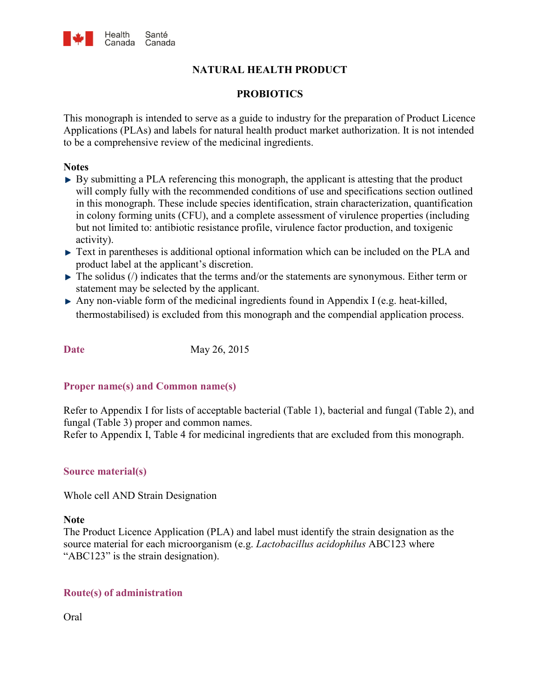

## **NATURAL HEALTH PRODUCT**

## **PROBIOTICS**

This monograph is intended to serve as a guide to industry for the preparation of Product Licence Applications (PLAs) and labels for natural health product market authorization. It is not intended to be a comprehensive review of the medicinal ingredients.

## **Notes**

- $\triangleright$  By submitting a PLA referencing this monograph, the applicant is attesting that the product will comply fully with the recommended conditions of use and specifications section outlined in this monograph. These include species identification, strain characterization, quantification in colony forming units (CFU), and a complete assessment of virulence properties (including but not limited to: antibiotic resistance profile, virulence factor production, and toxigenic activity).
- ► Text in parentheses is additional optional information which can be included on the PLA and product label at the applicant's discretion.
- $\blacktriangleright$  The solidus (/) indicates that the terms and/or the statements are synonymous. Either term or statement may be selected by the applicant.
- Any non-viable form of the medicinal ingredients found in Appendix I (e.g. heat-killed, thermostabilised) is excluded from this monograph and the compendial application process.

**Date** May 26, 2015

## **Proper name(s) and Common name(s)**

Refer to Appendix I for lists of acceptable bacterial (Table 1), bacterial and fungal (Table 2), and fungal (Table 3) proper and common names. Refer to Appendix I, Table 4 for medicinal ingredients that are excluded from this monograph.

#### **Source material(s)**

Whole cell AND Strain Designation

#### **Note**

The Product Licence Application (PLA) and label must identify the strain designation as the source material for each microorganism (e.g. *Lactobacillus acidophilus* ABC123 where "ABC123" is the strain designation).

## **Route(s) of administration**

Oral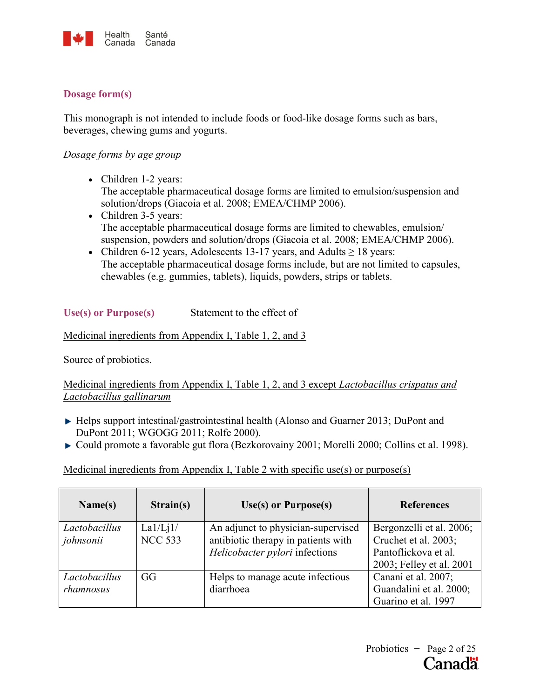

## **Dosage form(s)**

This monograph is not intended to include foods or food-like dosage forms such as bars, beverages, chewing gums and yogurts.

## *Dosage forms by age group*

- Children 1-2 years: The acceptable pharmaceutical dosage forms are limited to emulsion/suspension and solution/drops (Giacoia et al. 2008; EMEA/CHMP 2006).
- Children 3-5 years: The acceptable pharmaceutical dosage forms are limited to chewables, emulsion/ suspension, powders and solution/drops (Giacoia et al. 2008; EMEA/CHMP 2006).
- Children 6-12 years, Adolescents 13-17 years, and Adults  $\geq 18$  years: The acceptable pharmaceutical dosage forms include, but are not limited to capsules, chewables (e.g. gummies, tablets), liquids, powders, strips or tablets.

Use(s) or Purpose(s) Statement to the effect of

Medicinal ingredients from Appendix I, Table 1, 2, and 3

Source of probiotics.

## Medicinal ingredients from Appendix I, Table 1, 2, and 3 except *Lactobacillus crispatus and Lactobacillus gallinarum*

- Helps support intestinal/gastrointestinal health (Alonso and Guarner 2013; DuPont and DuPont 2011; WGOGG 2011; Rolfe 2000).
- ► Could promote a favorable gut flora (Bezkorovainy 2001; Morelli 2000; Collins et al. 1998).

Medicinal ingredients from Appendix I, Table 2 with specific use(s) or purpose(s)

| Name(s)                    | Strain(s)                  | Use(s) or Purpose(s)                                                                                        | <b>References</b>                                                                                    |
|----------------------------|----------------------------|-------------------------------------------------------------------------------------------------------------|------------------------------------------------------------------------------------------------------|
| Lactobacillus<br>johnsonii | La1/Lj1/<br><b>NCC 533</b> | An adjunct to physician-supervised<br>antibiotic therapy in patients with<br>Helicobacter pylori infections | Bergonzelli et al. 2006;<br>Cruchet et al. 2003;<br>Pantoflickova et al.<br>2003; Felley et al. 2001 |
| Lactobacillus<br>rhamnosus | GG                         | Helps to manage acute infectious<br>diarrhoea                                                               | Canani et al. 2007;<br>Guandalini et al. 2000;<br>Guarino et al. 1997                                |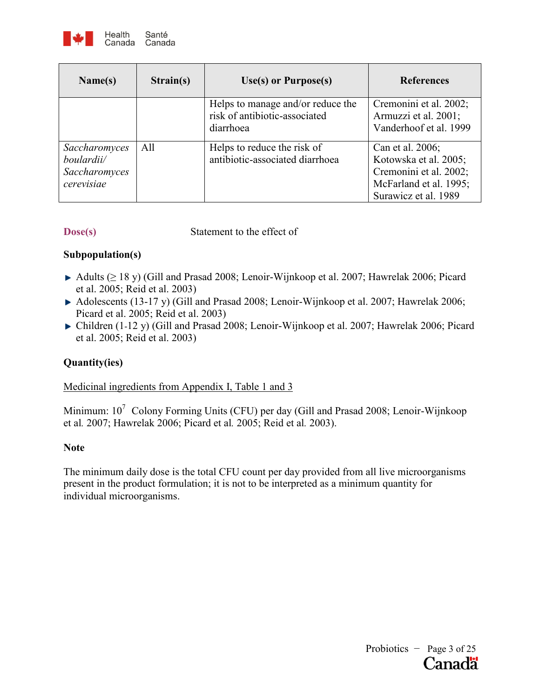

| Name(s)       | Strain(s) | Use(s) or Purpose(s)                                               | <b>References</b>                              |
|---------------|-----------|--------------------------------------------------------------------|------------------------------------------------|
|               |           | Helps to manage and/or reduce the<br>risk of antibiotic-associated | Cremonini et al. 2002;<br>Armuzzi et al. 2001; |
|               |           | diarrhoea                                                          | Vanderhoof et al. 1999                         |
| Saccharomyces | All       | Helps to reduce the risk of                                        | Can et al. 2006;                               |
| boulardii/    |           | antibiotic-associated diarrhoea                                    | Kotowska et al. 2005;                          |
| Saccharomyces |           |                                                                    | Cremonini et al. 2002;                         |
| cerevisiae    |           |                                                                    | McFarland et al. 1995;                         |
|               |           |                                                                    | Surawicz et al. 1989                           |

**Statement to the effect of** 

## **Subpopulation(s)**

- Adults ( $\geq$  18 y) (Gill and Prasad 2008; Lenoir-Wijnkoop et al. 2007; Hawrelak 2006; Picard et al. 2005; Reid et al. 2003)
- Adolescents (13-17 y) (Gill and Prasad 2008; Lenoir-Wijnkoop et al. 2007; Hawrelak 2006; Picard et al. 2005; Reid et al. 2003)
- Children (1-12 y) (Gill and Prasad 2008; Lenoir-Wijnkoop et al. 2007; Hawrelak 2006; Picard et al. 2005; Reid et al. 2003)

## **Quantity(ies)**

## Medicinal ingredients from Appendix I, Table 1 and 3

Minimum:  $10^7$  Colony Forming Units (CFU) per day (Gill and Prasad 2008; Lenoir-Wijnkoop et al*.* 2007; Hawrelak 2006; Picard et al*.* 2005; Reid et al*.* 2003).

## **Note**

The minimum daily dose is the total CFU count per day provided from all live microorganisms present in the product formulation; it is not to be interpreted as a minimum quantity for individual microorganisms.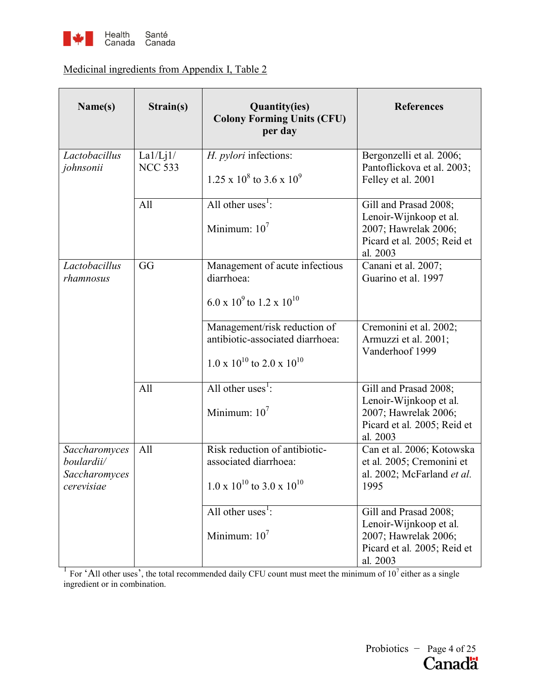

# Medicinal ingredients from Appendix I, Table 2

| Name(s)                                                    | Strain(s)                  | <b>Quantity(ies)</b><br><b>Colony Forming Units (CFU)</b><br>per day                                                                                               | <b>References</b>                                                                                                  |
|------------------------------------------------------------|----------------------------|--------------------------------------------------------------------------------------------------------------------------------------------------------------------|--------------------------------------------------------------------------------------------------------------------|
| Lactobacillus<br>johnsonii                                 | La1/Lj1/<br><b>NCC 533</b> | H. pylori infections:<br>$1.25 \times 10^8$ to 3.6 x 10 <sup>9</sup>                                                                                               | Bergonzelli et al. 2006;<br>Pantoflickova et al. 2003;<br>Felley et al. 2001                                       |
|                                                            | All                        | All other uses <sup>1</sup> :<br>Minimum: $10^7$                                                                                                                   | Gill and Prasad 2008;<br>Lenoir-Wijnkoop et al.<br>2007; Hawrelak 2006;<br>Picard et al. 2005; Reid et<br>al. 2003 |
| Lactobacillus<br>rhamnosus                                 | GG                         | Management of acute infectious<br>diarrhoea:<br>$6.0 \times 10^{9}$ to 1.2 x $10^{10}$                                                                             | Canani et al. 2007;<br>Guarino et al. 1997                                                                         |
|                                                            |                            | Management/risk reduction of<br>antibiotic-associated diarrhoea:<br>$1.0 \times 10^{10}$ to $2.0 \times 10^{10}$                                                   | Cremonini et al. 2002;<br>Armuzzi et al. 2001;<br>Vanderhoof 1999                                                  |
|                                                            | All                        | All other uses <sup>1</sup> :<br>Minimum: $107$                                                                                                                    | Gill and Prasad 2008;<br>Lenoir-Wijnkoop et al.<br>2007; Hawrelak 2006;<br>Picard et al. 2005; Reid et<br>al. 2003 |
| Saccharomyces<br>boulardii/<br>Saccharomyces<br>cerevisiae | All                        | Risk reduction of antibiotic-<br>associated diarrhoea:<br>$1.0 \times 10^{10}$ to 3.0 x $10^{10}$                                                                  | Can et al. 2006; Kotowska<br>et al. 2005; Cremonini et<br>al. 2002; McFarland et al.<br>1995                       |
|                                                            |                            | All other uses <sup>1</sup> :<br>Minimum: $10^7$<br>For 'All other uses', the total recommended daily CFU count must meet the minimum of $10^7$ either as a single | Gill and Prasad 2008;<br>Lenoir-Wijnkoop et al.<br>2007; Hawrelak 2006;<br>Picard et al. 2005; Reid et<br>al. 2003 |

ingredient or in combination.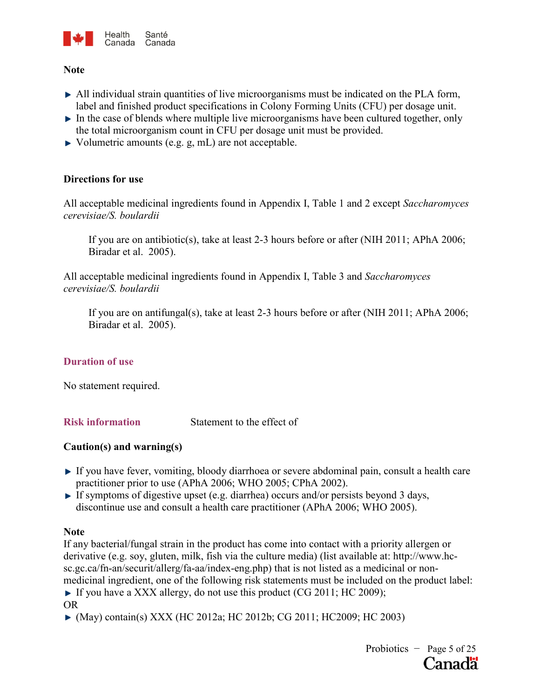

**Note**

- $\blacktriangleright$  All individual strain quantities of live microorganisms must be indicated on the PLA form, label and finished product specifications in Colony Forming Units (CFU) per dosage unit.
- $\blacktriangleright$  In the case of blends where multiple live microorganisms have been cultured together, only the total microorganism count in CFU per dosage unit must be provided.
- $\triangleright$  Volumetric amounts (e.g. g, mL) are not acceptable.

## **Directions for use**

All acceptable medicinal ingredients found in Appendix I, Table 1 and 2 except *Saccharomyces cerevisiae/S. boulardii*

If you are on antibiotic(s), take at least 2-3 hours before or after (NIH 2011; APhA 2006; Biradar et al. 2005).

All acceptable medicinal ingredients found in Appendix I, Table 3 and *Saccharomyces cerevisiae/S. boulardii*

If you are on antifungal(s), take at least 2-3 hours before or after (NIH 2011; APhA 2006; Biradar et al. 2005).

## **Duration of use**

No statement required.

**Risk information** Statement to the effect of

## **Caution(s) and warning(s)**

- If you have fever, vomiting, bloody diarrhoea or severe abdominal pain, consult a health care practitioner prior to use (APhA 2006; WHO 2005; CPhA 2002).
- If symptoms of digestive upset (e.g. diarrhea) occurs and/or persists beyond 3 days, discontinue use and consult a health care practitioner (APhA 2006; WHO 2005).

## **Note**

If any bacterial/fungal strain in the product has come into contact with a priority allergen or derivative (e.g. soy, gluten, milk, fish via the culture media) (list available at: http://www.hcsc.gc.ca/fn-an/securit/allerg/fa-aa/index-eng.php) that is not listed as a medicinal or nonmedicinal ingredient, one of the following risk statements must be included on the product label:

If you have a XXX allergy, do not use this product  $(CG 2011; HC 2009)$ ;

OR

(May) contain(s) XXX (HC 2012a; HC 2012b; CG 2011; HC2009; HC 2003)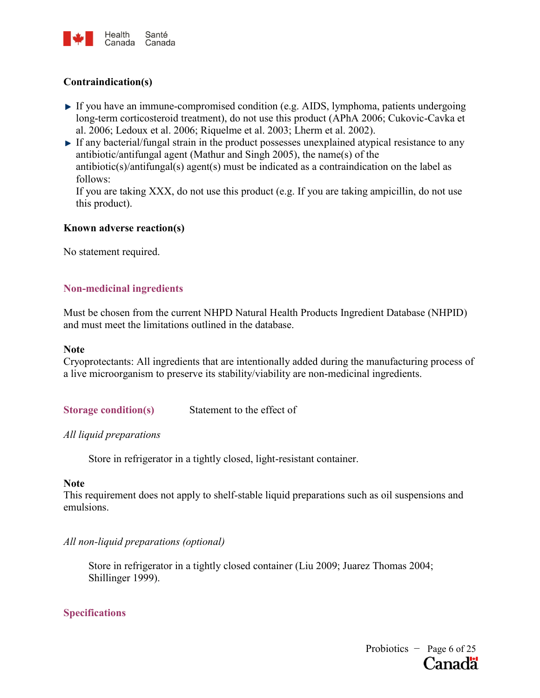

## **Contraindication(s)**

- If you have an immune-compromised condition (e.g. AIDS, lymphoma, patients undergoing long-term corticosteroid treatment), do not use this product (APhA 2006; Cukovic-Cavka et al. 2006; Ledoux et al. 2006; Riquelme et al. 2003; Lherm et al. 2002).
- $\blacktriangleright$  If any bacterial/fungal strain in the product possesses unexplained atypical resistance to any antibiotic/antifungal agent (Mathur and Singh 2005), the name(s) of the antibiotic(s)/antifungal(s) agent(s) must be indicated as a contraindication on the label as follows:

If you are taking XXX, do not use this product (e.g. If you are taking ampicillin, do not use this product).

## **Known adverse reaction(s)**

No statement required.

## **Non-medicinal ingredients**

Must be chosen from the current NHPD Natural Health Products Ingredient Database (NHPID) and must meet the limitations outlined in the database.

## **Note**

Cryoprotectants: All ingredients that are intentionally added during the manufacturing process of a live microorganism to preserve its stability/viability are non-medicinal ingredients.

**Storage condition(s)** Statement to the effect of

## *All liquid preparations*

Store in refrigerator in a tightly closed, light-resistant container.

#### **Note**

This requirement does not apply to shelf-stable liquid preparations such as oil suspensions and emulsions.

## *All non-liquid preparations (optional)*

Store in refrigerator in a tightly closed container (Liu 2009; Juarez Thomas 2004; Shillinger 1999).

## **Specifications**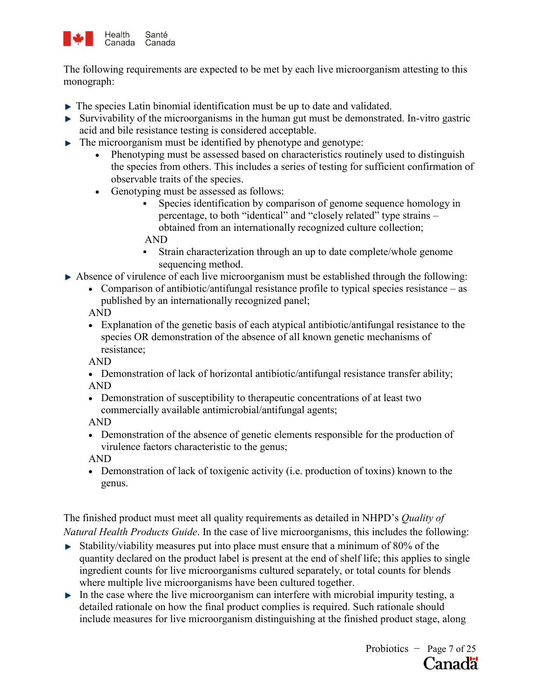

The following requirements are expected to be met by each live microorganism attesting to this monograph:

- The species Latin binomial identification must be up to date and validated.
- $\triangleright$  Survivability of the microorganisms in the human gut must be demonstrated. In-vitro gastric acid and bile resistance testing is considered acceptable.
- $\blacktriangleright$  The microorganism must be identified by phenotype and genotype:
	- Phenotyping must be assessed based on characteristics routinely used to distinguish the species from others. This includes a series of testing for sufficient confirmation of observable traits of the species.
	- Genotyping must be assessed as follows:
		- Species identification by comparison of genome sequence homology in percentage, to both "identical" and "closely related" type strains – obtained from an internationally recognized culture collection; AND
		- Strain characterization through an up to date complete/whole genome sequencing method.
- Absence of virulence of each live microorganism must be established through the following:
	- Comparison of antibiotic/antifungal resistance profile to typical species resistance as published by an internationally recognized panel;

AND

 Explanation of the genetic basis of each atypical antibiotic/antifungal resistance to the species OR demonstration of the absence of all known genetic mechanisms of resistance;

AND

- Demonstration of lack of horizontal antibiotic/antifungal resistance transfer ability; AND
- Demonstration of susceptibility to therapeutic concentrations of at least two commercially available antimicrobial/antifungal agents;

AND

 Demonstration of the absence of genetic elements responsible for the production of virulence factors characteristic to the genus;

AND

 Demonstration of lack of toxigenic activity (i.e. production of toxins) known to the genus.

The finished product must meet all quality requirements as detailed in NHPD's *Quality of Natural Health Products Guide*. In the case of live microorganisms, this includes the following:

- $\blacktriangleright$  Stability/viability measures put into place must ensure that a minimum of 80% of the quantity declared on the product label is present at the end of shelf life; this applies to single ingredient counts for live microorganisms cultured separately, or total counts for blends where multiple live microorganisms have been cultured together.
- $\blacktriangleright$  In the case where the live microorganism can interfere with microbial impurity testing, a detailed rationale on how the final product complies is required. Such rationale should include measures for live microorganism distinguishing at the finished product stage, along

Probiotics − Page 7 of 25 **Canadä**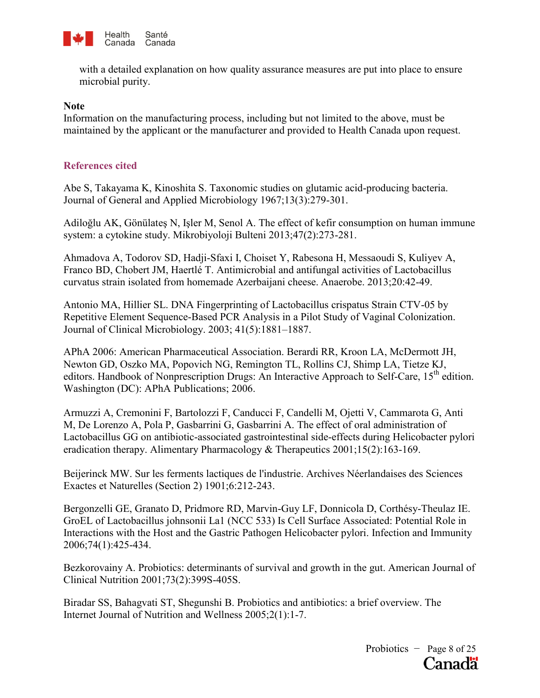

with a detailed explanation on how quality assurance measures are put into place to ensure microbial purity.

#### **Note**

Information on the manufacturing process, including but not limited to the above, must be maintained by the applicant or the manufacturer and provided to Health Canada upon request.

#### **References cited**

Abe S, Takayama K, Kinoshita S. Taxonomic studies on glutamic acid-producing bacteria. Journal of General and Applied Microbiology 1967;13(3):279-301.

Adiloğlu AK, Gönülateş N, Işler M, Senol A. The effect of kefir consumption on human immune system: a cytokine study. Mikrobiyoloji Bulteni 2013;47(2):273-281.

Ahmadova A, Todorov SD, Hadji-Sfaxi I, Choiset Y, Rabesona H, Messaoudi S, Kuliyev A, Franco BD, Chobert JM, Haertlé T. Antimicrobial and antifungal activities of Lactobacillus curvatus strain isolated from homemade Azerbaijani cheese. Anaerobe. 2013;20:42-49.

Antonio MA, Hillier SL. DNA Fingerprinting of Lactobacillus crispatus Strain CTV-05 by Repetitive Element Sequence-Based PCR Analysis in a Pilot Study of Vaginal Colonization. Journal of Clinical Microbiology. 2003; 41(5):1881–1887.

APhA 2006: American Pharmaceutical Association. Berardi RR, [Kroon](http://www.amazon.com/s/ref=ntt_athr_dp_sr_2?_encoding=UTF8&sort=relevancerank&search-alias=books&field-author=Lisa%20A.%20Kroon) LA, [McDermott](http://www.amazon.com/s/ref=ntt_athr_dp_sr_3?_encoding=UTF8&sort=relevancerank&search-alias=books&field-author=June%20H.%20McDermott) JH, [Newton](http://www.amazon.com/s/ref=ntt_athr_dp_sr_4?_encoding=UTF8&sort=relevancerank&search-alias=books&field-author=Gail%20D.%20Newton) GD, [Oszko](http://www.amazon.com/s/ref=ntt_athr_dp_sr_5?_encoding=UTF8&sort=relevancerank&search-alias=books&field-author=Michael%20A.%20Oszko) MA, [Popovich](http://www.amazon.com/s/ref=ntt_athr_dp_sr_6?_encoding=UTF8&sort=relevancerank&search-alias=books&field-author=Nicholas%20G%20Popovich) NG, [Remington](http://www.amazon.com/s/ref=ntt_athr_dp_sr_7?_encoding=UTF8&sort=relevancerank&search-alias=books&field-author=Tami%20L.%20Remington) TL, [Rollins](http://www.amazon.com/s/ref=ntt_athr_dp_sr_8?_encoding=UTF8&sort=relevancerank&search-alias=books&field-author=Carol%20J.%20Rollins) CJ, [Shimp](http://www.amazon.com/s/ref=ntt_athr_dp_sr_9?_encoding=UTF8&sort=relevancerank&search-alias=books&field-author=Leslie%20A.%20Shimp) LA, Tietze KJ, editors. Handbook of Nonprescription Drugs: An Interactive Approach to Self-Care, 15<sup>th</sup> edition. Washington (DC): APhA Publications; 2006.

Armuzzi A, Cremonini F, Bartolozzi F, Canducci F, Candelli M, Ojetti V, Cammarota G, Anti M, De Lorenzo A, Pola P, Gasbarrini G, Gasbarrini A. The effect of oral administration of Lactobacillus GG on antibiotic-associated gastrointestinal side-effects during Helicobacter pylori eradication therapy. Alimentary Pharmacology & Therapeutics 2001;15(2):163-169.

Beijerinck MW. Sur les ferments lactiques de l'industrie. Archives Néerlandaises des Sciences Exactes et Naturelles (Section 2) 1901;6:212-243.

Bergonzelli GE, Granato D, Pridmore RD, Marvin-Guy LF, Donnicola D, Corthésy-Theulaz IE. GroEL of Lactobacillus johnsonii La1 (NCC 533) Is Cell Surface Associated: Potential Role in Interactions with the Host and the Gastric Pathogen Helicobacter pylori. Infection and Immunity 2006;74(1):425-434.

Bezkorovainy A. Probiotics: determinants of survival and growth in the gut. American Journal of Clinical Nutrition 2001;73(2):399S-405S.

Biradar SS, Bahagvati ST, Shegunshi B. Probiotics and antibiotics: a brief overview. The Internet Journal of Nutrition and Wellness 2005;2(1):1-7.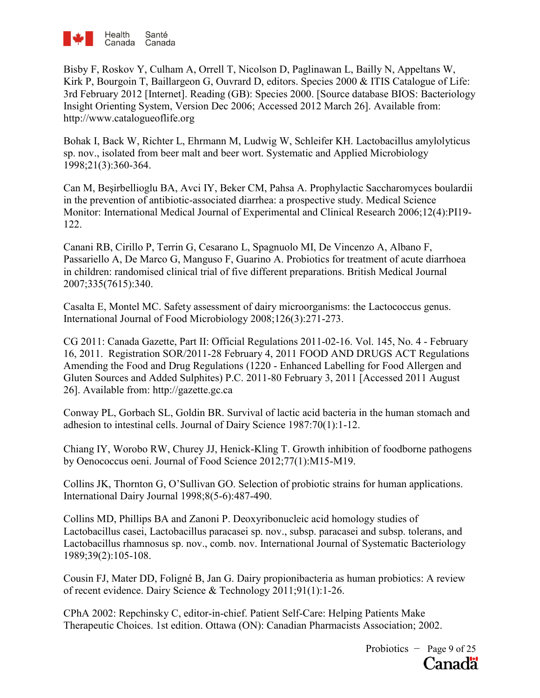

Bisby F, Roskov Y, Culham A, Orrell T, Nicolson D, Paglinawan L, Bailly N, Appeltans W, Kirk P, Bourgoin T, Baillargeon G, Ouvrard D, editors. Species 2000 & ITIS Catalogue of Life: 3rd February 2012 [Internet]. Reading (GB): Species 2000. [Source database BIOS: Bacteriology Insight Orienting System, Version Dec 2006; Accessed 2012 March 26]. Available from: http://www.catalogueoflife.org

Bohak I, Back W, Richter L, Ehrmann M, Ludwig W, Schleifer KH. Lactobacillus amylolyticus sp. nov., isolated from beer malt and beer wort. Systematic and Applied Microbiology 1998;21(3):360-364.

Can M, Beşirbellioglu BA, Avci IY, Beker CM, Pahsa A. Prophylactic Saccharomyces boulardii in the prevention of antibiotic-associated diarrhea: a prospective study. Medical Science Monitor: International Medical Journal of Experimental and Clinical Research 2006;12(4):PI19- 122.

Canani RB, Cirillo P, Terrin G, Cesarano L, Spagnuolo MI, De Vincenzo A, Albano F, Passariello A, De Marco G, Manguso F, Guarino A. Probiotics for treatment of acute diarrhoea in children: randomised clinical trial of five different preparations. British Medical Journal 2007;335(7615):340.

Casalta E, Montel MC. Safety assessment of dairy microorganisms: the Lactococcus genus. International Journal of Food Microbiology 2008;126(3):271-273.

CG 2011: Canada Gazette, Part II: Official Regulations 2011-02-16. Vol. 145, No. 4 - February 16, 2011. Registration SOR/2011-28 February 4, 2011 FOOD AND DRUGS ACT Regulations Amending the Food and Drug Regulations (1220 - Enhanced Labelling for Food Allergen and Gluten Sources and Added Sulphites) P.C. 2011-80 February 3, 2011 [Accessed 2011 August 26]. Available from: http://gazette.gc.ca

Conway PL, Gorbach SL, Goldin BR. Survival of lactic acid bacteria in the human stomach and adhesion to intestinal cells. Journal of Dairy Science 1987:70(1):1-12.

Chiang IY, Worobo RW, Churey JJ, Henick-Kling T. Growth inhibition of foodborne pathogens by Oenococcus oeni. Journal of Food Science 2012;77(1):M15-M19.

Collins JK, Thornton G, O'Sullivan GO. Selection of probiotic strains for human applications. International Dairy Journal 1998;8(5-6):487-490.

Collins MD, Phillips BA and Zanoni P. Deoxyribonucleic acid homology studies of Lactobacillus casei, Lactobacillus paracasei sp. nov., subsp. paracasei and subsp. tolerans, and Lactobacillus rhamnosus sp. nov., comb. nov. International Journal of Systematic Bacteriology 1989;39(2):105-108.

Cousin FJ, Mater DD, Foligné B, Jan G. Dairy propionibacteria as human probiotics: A review of recent evidence. Dairy Science & Technology 2011;91(1):1-26.

CPhA 2002: Repchinsky C, editor-in-chief. Patient Self-Care: Helping Patients Make Therapeutic Choices. 1st edition. Ottawa (ON): Canadian Pharmacists Association; 2002.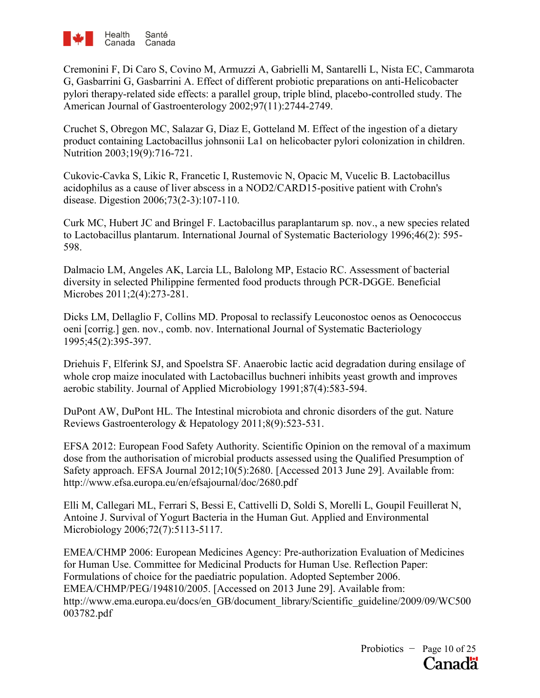

Cremonini F, Di Caro S, Covino M, Armuzzi A, Gabrielli M, Santarelli L, Nista EC, Cammarota G, Gasbarrini G, Gasbarrini A. Effect of different probiotic preparations on anti-Helicobacter pylori therapy-related side effects: a parallel group, triple blind, placebo-controlled study. The American Journal of Gastroenterology 2002;97(11):2744-2749.

Cruchet S, Obregon MC, Salazar G, Diaz E, Gotteland M. Effect of the ingestion of a dietary product containing Lactobacillus johnsonii La1 on helicobacter pylori colonization in children. Nutrition 2003;19(9):716-721.

Cukovic-Cavka S, Likic R, Francetic I, Rustemovic N, Opacic M, Vucelic B. Lactobacillus acidophilus as a cause of liver abscess in a NOD2/CARD15-positive patient with Crohn's disease. Digestion 2006;73(2-3):107-110.

Curk MC, Hubert JC and Bringel F. Lactobacillus paraplantarum sp. nov., a new species related to Lactobacillus plantarum. International Journal of Systematic Bacteriology 1996;46(2): 595- 598.

Dalmacio LM, Angeles AK, Larcia LL, Balolong MP, Estacio RC. Assessment of bacterial diversity in selected Philippine fermented food products through PCR-DGGE. Beneficial Microbes 2011;2(4):273-281.

Dicks LM, Dellaglio F, Collins MD. Proposal to reclassify Leuconostoc oenos as Oenococcus oeni [corrig.] gen. nov., comb. nov. International Journal of Systematic Bacteriology 1995;45(2):395-397.

Driehuis F, Elferink SJ, and Spoelstra SF. Anaerobic lactic acid degradation during ensilage of whole crop maize inoculated with Lactobacillus buchneri inhibits yeast growth and improves aerobic stability. Journal of Applied Microbiology 1991;87(4):583-594.

DuPont AW, DuPont HL. The Intestinal microbiota and chronic disorders of the gut. Nature Reviews Gastroenterology & Hepatology 2011;8(9):523-531.

EFSA 2012: European Food Safety Authority. Scientific Opinion on the removal of a maximum dose from the authorisation of microbial products assessed using the Qualified Presumption of Safety approach. EFSA Journal 2012;10(5):2680. [Accessed 2013 June 29]. Available from: <http://www.efsa.europa.eu/en/efsajournal/doc/2680.pdf>

Elli M, Callegari ML, Ferrari S, Bessi E, Cattivelli D, Soldi S, Morelli L, Goupil Feuillerat N, Antoine J. Survival of Yogurt Bacteria in the Human Gut. Applied and Environmental Microbiology 2006;72(7):5113-5117.

EMEA/CHMP 2006: European Medicines Agency: Pre-authorization Evaluation of Medicines for Human Use. [Committee for Medicinal Products for Human Use. Reflection Paper:](http://www.ema.europa.eu/docs/en_GB/document_library/Scientific_guideline/2009/09/WC500003782.pdf)  [Formulations of choice for the paediatric population.](http://www.ema.europa.eu/docs/en_GB/document_library/Scientific_guideline/2009/09/WC500003782.pdf) Adopted September 2006. EMEA/CHMP/PEG/194810/2005. [Accessed on 2013 June 29]. Available from: http://www.ema.europa.eu/docs/en\_GB/document\_library/Scientific\_guideline/2009/09/WC500 003782.pdf

> Probiotics − Page 10 of 25 **Canadä**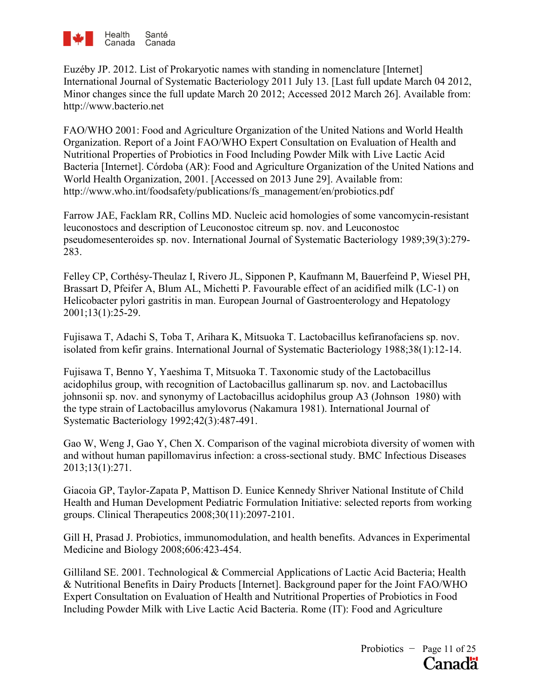

Euzéby JP. 2012. List of Prokaryotic names with standing in nomenclature [Internet] International Journal of Systematic Bacteriology 2011 July 13. [Last full update March 04 2012, Minor changes since the full update March 20 2012; Accessed 2012 March 26]. Available from: http://www.bacterio.net

FAO/WHO 2001: Food and Agriculture Organization of the United Nations and World Health Organization. Report of a Joint FAO/WHO Expert Consultation on Evaluation of Health and Nutritional Properties of Probiotics in Food Including Powder Milk with Live Lactic Acid Bacteria [Internet]. Córdoba (AR): Food and Agriculture Organization of the United Nations and World Health Organization, 2001. [Accessed on 2013 June 29]. Available from: [http://www.who.int/foodsafety/publications/fs\\_management/en/probiotics.pdf](http://www.who.int/foodsafety/publications/fs_management/en/probiotics.pdf)

Farrow JAE, Facklam RR, Collins MD. Nucleic acid homologies of some vancomycin-resistant leuconostocs and description of Leuconostoc citreum sp. nov. and Leuconostoc pseudomesenteroides sp. nov. International Journal of Systematic Bacteriology 1989;39(3):279- 283.

Felley CP, Corthésy-Theulaz I, Rivero JL, Sipponen P, Kaufmann M, Bauerfeind P, Wiesel PH, Brassart D, Pfeifer A, Blum AL, Michetti P. Favourable effect of an acidified milk (LC-1) on Helicobacter pylori gastritis in man. European Journal of Gastroenterology and Hepatology 2001;13(1):25-29.

Fujisawa T, Adachi S, Toba T, Arihara K, Mitsuoka T. Lactobacillus kefiranofaciens sp. nov. isolated from kefir grains. International Journal of Systematic Bacteriology 1988;38(1):12-14.

Fujisawa T, Benno Y, Yaeshima T, Mitsuoka T. Taxonomic study of the Lactobacillus acidophilus group, with recognition of Lactobacillus gallinarum sp. nov. and Lactobacillus johnsonii sp. nov. and synonymy of Lactobacillus acidophilus group A3 (Johnson 1980) with the type strain of Lactobacillus amylovorus (Nakamura 1981). International Journal of Systematic Bacteriology 1992;42(3):487-491.

Gao W, Weng J, Gao Y, Chen X. Comparison of the vaginal microbiota diversity of women with and without human papillomavirus infection: a cross-sectional study. BMC Infectious Diseases 2013;13(1):271.

Giacoia GP, Taylor-Zapata P, Mattison D. Eunice Kennedy Shriver National Institute of Child Health and Human Development Pediatric Formulation Initiative: selected reports from working groups. Clinical Therapeutics 2008;30(11):2097-2101.

Gill H, Prasad J. Probiotics, immunomodulation, and health benefits. Advances in Experimental Medicine and Biology 2008;606:423-454.

Gilliland SE. 2001. Technological & Commercial Applications of Lactic Acid Bacteria; Health & Nutritional Benefits in Dairy Products [Internet]. Background paper for the Joint FAO/WHO Expert Consultation on Evaluation of Health and Nutritional Properties of Probiotics in Food Including Powder Milk with Live Lactic Acid Bacteria. Rome (IT): Food and Agriculture

> Probiotics − Page 11 of 25 **Canadä**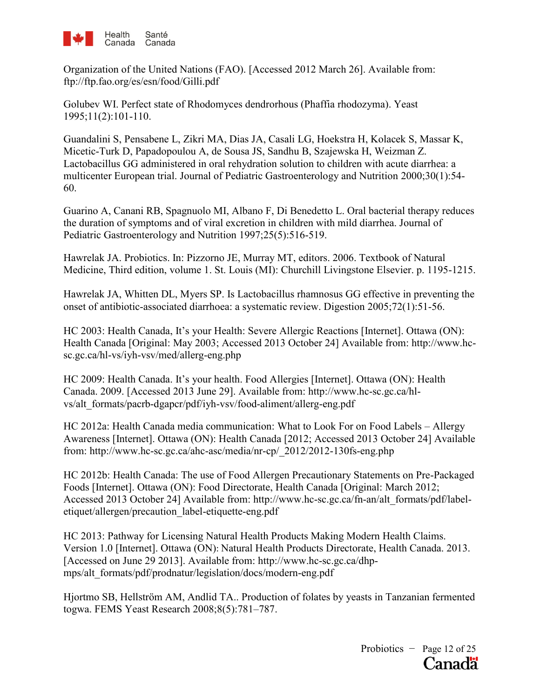

Organization of the United Nations (FAO). [Accessed 2012 March 26]. Available from: ftp://ftp.fao.org/es/esn/food/Gilli.pdf

Golubev WI. Perfect state of Rhodomyces dendrorhous (Phaffia rhodozyma). Yeast 1995;11(2):101-110.

Guandalini S, Pensabene L, Zikri MA, Dias JA, Casali LG, Hoekstra H, Kolacek S, Massar K, Micetic-Turk D, Papadopoulou A, de Sousa JS, Sandhu B, Szajewska H, Weizman Z. Lactobacillus GG administered in oral rehydration solution to children with acute diarrhea: a multicenter European trial. Journal of Pediatric Gastroenterology and Nutrition 2000;30(1):54- 60.

Guarino A, Canani RB, Spagnuolo MI, Albano F, Di Benedetto L. Oral bacterial therapy reduces the duration of symptoms and of viral excretion in children with mild diarrhea. Journal of Pediatric Gastroenterology and Nutrition 1997;25(5):516-519.

Hawrelak JA. Probiotics. In: Pizzorno JE, Murray MT, editors. 2006. Textbook of Natural Medicine, Third edition, volume 1. St. Louis (MI): Churchill Livingstone Elsevier. p. 1195-1215.

Hawrelak JA, Whitten DL, Myers SP. Is Lactobacillus rhamnosus GG effective in preventing the onset of antibiotic-associated diarrhoea: a systematic review. Digestion 2005;72(1):51-56.

HC 2003: Health Canada, It's your Health: Severe Allergic Reactions [Internet]. Ottawa (ON): Health Canada [Original: May 2003; Accessed 2013 October 24] Available from: http://www.hcsc.gc.ca/hl-vs/iyh-vsv/med/allerg-eng.php

HC 2009: Health Canada. It's your health. Food Allergies [Internet]. Ottawa (ON): Health Canada. 2009. [Accessed 2013 June 29]. Available from: http://www.hc-sc.gc.ca/hlvs/alt\_formats/pacrb-dgapcr/pdf/iyh-vsv/food-aliment/allerg-eng.pdf

HC 2012a: Health Canada media communication: What to Look For on Food Labels – Allergy Awareness [Internet]. Ottawa (ON): Health Canada [2012; Accessed 2013 October 24] Available from: http://www.hc-sc.gc.ca/ahc-asc/media/nr-cp/\_2012/2012-130fs-eng.php

HC 2012b: Health Canada: The use of Food Allergen Precautionary Statements on Pre-Packaged Foods [Internet]. Ottawa (ON): Food Directorate, Health Canada [Original: March 2012; Accessed 2013 October 24] Available from: http://www.hc-sc.gc.ca/fn-an/alt\_formats/pdf/labeletiquet/allergen/precaution\_label-etiquette-eng.pdf

HC 2013: Pathway for Licensing Natural Health Products Making Modern Health Claims. Version 1.0 [Internet]. Ottawa (ON): Natural Health Products Directorate, Health Canada. 2013. [Accessed on June 29 2013]. Available from: [http://www.hc-sc.gc.ca/dhp](http://www.hc-sc.gc.ca/dhp-mps/alt_formats/pdf/prodnatur/legislation/docs/modern-eng.pdf)[mps/alt\\_formats/pdf/prodnatur/legislation/docs/modern-eng.pdf](http://www.hc-sc.gc.ca/dhp-mps/alt_formats/pdf/prodnatur/legislation/docs/modern-eng.pdf)

Hjortmo SB, Hellström AM, Andlid TA.. Production of folates by yeasts in Tanzanian fermented togwa. FEMS Yeast Research 2008;8(5):781–787.

> Probiotics − Page 12 of 25 **Canadä**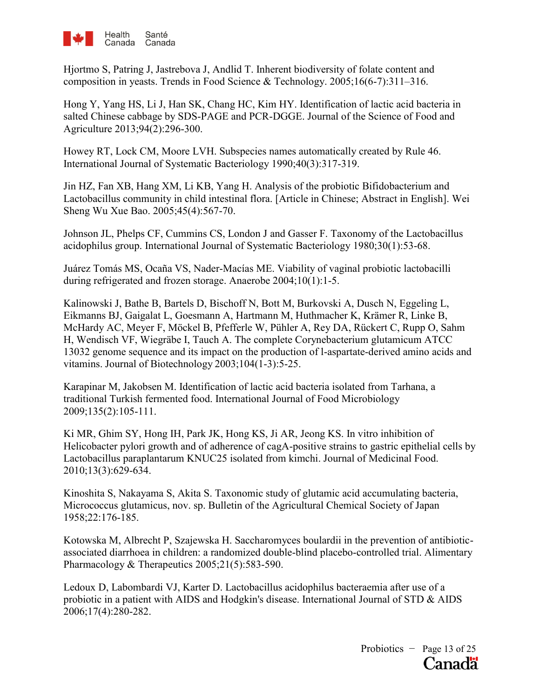

Hjortmo S, Patring J, Jastrebova J, Andlid T. Inherent biodiversity of folate content and composition in yeasts. Trends in Food Science & Technology. 2005;16(6-7):311–316.

Hong Y, Yang HS, Li J, Han SK, Chang HC, Kim HY. Identification of lactic acid bacteria in salted Chinese cabbage by SDS-PAGE and PCR-DGGE. Journal of the Science of Food and Agriculture 2013;94(2):296-300.

Howey RT, Lock CM, Moore LVH. Subspecies names automatically created by Rule 46. International Journal of Systematic Bacteriology 1990;40(3):317-319.

Jin HZ, Fan XB, Hang XM, Li KB, Yang H. Analysis of the probiotic Bifidobacterium and Lactobacillus community in child intestinal flora. [Article in Chinese; Abstract in English]. Wei Sheng Wu Xue Bao. 2005;45(4):567-70.

Johnson JL, Phelps CF, Cummins CS, London J and Gasser F. Taxonomy of the Lactobacillus acidophilus group. International Journal of Systematic Bacteriology 1980;30(1):53-68.

Juárez Tomás MS, Ocaña VS, Nader-Macías ME. Viability of vaginal probiotic lactobacilli during refrigerated and frozen storage. Anaerobe 2004;10(1):1-5.

Kalinowski J, Bathe B, Bartels D, Bischoff N, Bott M, Burkovski A, Dusch N, Eggeling L, Eikmanns BJ, Gaigalat L, Goesmann A, Hartmann M, Huthmacher K, Krämer R, Linke B, McHardy AC, Meyer F, Möckel B, Pfefferle W, Pühler A, Rey DA, Rückert C, Rupp O, Sahm H, Wendisch VF, Wiegräbe I, Tauch A. The complete Corynebacterium glutamicum ATCC 13032 genome sequence and its impact on the production of l-aspartate-derived amino acids and vitamins. Journal of Biotechnology 2003;104(1-3):5-25.

Karapinar M, Jakobsen M. Identification of lactic acid bacteria isolated from Tarhana, a traditional Turkish fermented food. International Journal of Food Microbiology 2009;135(2):105-111.

Ki MR, Ghim SY, Hong IH, Park JK, Hong KS, Ji AR, Jeong KS. In vitro inhibition of Helicobacter pylori growth and of adherence of cagA-positive strains to gastric epithelial cells by Lactobacillus paraplantarum KNUC25 isolated from kimchi. Journal of Medicinal Food. 2010;13(3):629-634.

Kinoshita S, Nakayama S, Akita S. Taxonomic study of glutamic acid accumulating bacteria, Micrococcus glutamicus, nov. sp. Bulletin of the Agricultural Chemical Society of Japan 1958;22:176-185.

Kotowska M, Albrecht P, Szajewska H. Saccharomyces boulardii in the prevention of antibioticassociated diarrhoea in children: a randomized double-blind placebo-controlled trial. Alimentary Pharmacology & Therapeutics 2005;21(5):583-590.

Ledoux D, Labombardi VJ, Karter D. Lactobacillus acidophilus bacteraemia after use of a probiotic in a patient with AIDS and Hodgkin's disease. International Journal of STD & AIDS 2006;17(4):280-282.

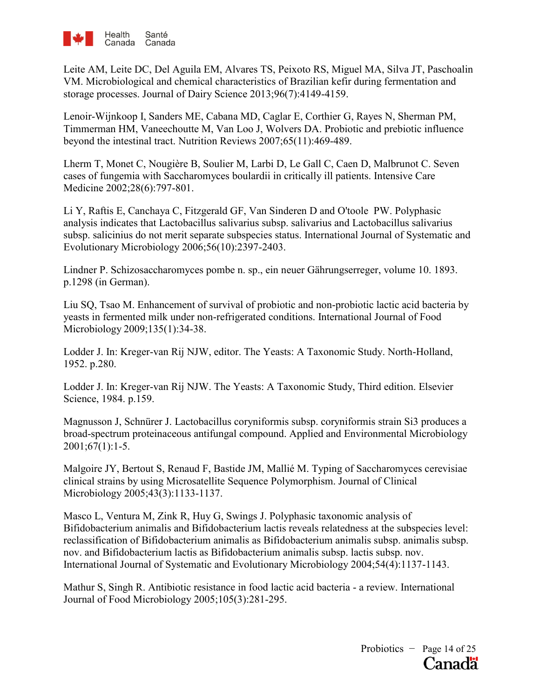

Leite AM, Leite DC, Del Aguila EM, Alvares TS, Peixoto RS, Miguel MA, Silva JT, Paschoalin VM. Microbiological and chemical characteristics of Brazilian kefir during fermentation and storage processes. Journal of Dairy Science 2013;96(7):4149-4159.

Lenoir-Wijnkoop I, Sanders ME, Cabana MD, Caglar E, Corthier G, Rayes N, Sherman PM, Timmerman HM, Vaneechoutte M, Van Loo J, Wolvers DA. Probiotic and prebiotic influence beyond the intestinal tract. Nutrition Reviews 2007;65(11):469-489.

Lherm T, Monet C, Nougière B, Soulier M, Larbi D, Le Gall C, Caen D, Malbrunot C. Seven cases of fungemia with Saccharomyces boulardii in critically ill patients. Intensive Care Medicine 2002;28(6):797-801.

Li Y, Raftis E, Canchaya C, Fitzgerald GF, Van Sinderen D and O'toole PW. Polyphasic analysis indicates that Lactobacillus salivarius subsp. salivarius and Lactobacillus salivarius subsp. salicinius do not merit separate subspecies status. International Journal of Systematic and Evolutionary Microbiology 2006;56(10):2397-2403.

Lindner P. Schizosaccharomyces pombe n. sp., ein neuer Gährungserreger, volume 10. 1893. p.1298 (in German).

Liu SQ, Tsao M. Enhancement of survival of probiotic and non-probiotic lactic acid bacteria by yeasts in fermented milk under non-refrigerated conditions. International Journal of Food Microbiology 2009;135(1):34-38.

Lodder J. In: Kreger-van Rij NJW, editor. The Yeasts: A Taxonomic Study. North-Holland, 1952. p.280.

Lodder J. In: Kreger-van Rij NJW. The Yeasts: A Taxonomic Study, Third edition. Elsevier Science, 1984. p.159.

Magnusson J, Schnürer J. Lactobacillus coryniformis subsp. coryniformis strain Si3 produces a broad-spectrum proteinaceous antifungal compound. Applied and Environmental Microbiology 2001;67(1):1-5.

Malgoire JY, Bertout S, Renaud F, Bastide JM, Mallié M. Typing of Saccharomyces cerevisiae clinical strains by using Microsatellite Sequence Polymorphism. Journal of Clinical Microbiology 2005;43(3):1133-1137.

Masco L, Ventura M, Zink R, Huy G, Swings J. Polyphasic taxonomic analysis of Bifidobacterium animalis and Bifidobacterium lactis reveals relatedness at the subspecies level: reclassification of Bifidobacterium animalis as Bifidobacterium animalis subsp. animalis subsp. nov. and Bifidobacterium lactis as Bifidobacterium animalis subsp. lactis subsp. nov. International Journal of Systematic and Evolutionary Microbiology 2004;54(4):1137-1143.

Mathur S, Singh R. Antibiotic resistance in food lactic acid bacteria - a review. International Journal of Food Microbiology 2005;105(3):281-295.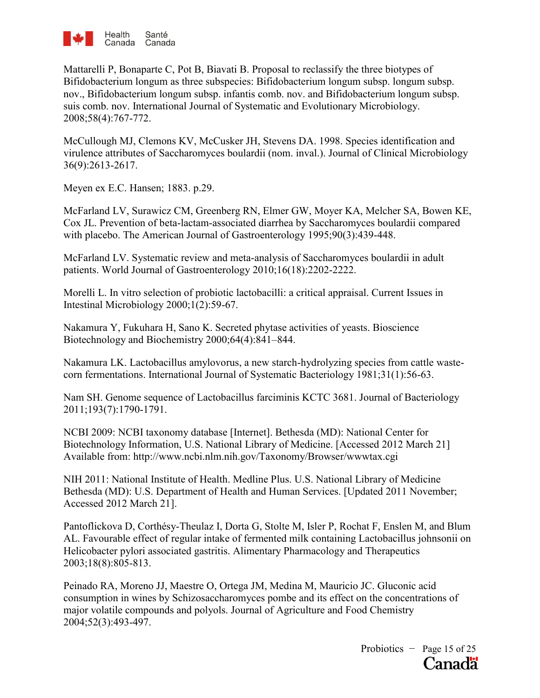

Mattarelli P, Bonaparte C, Pot B, Biavati B. Proposal to reclassify the three biotypes of Bifidobacterium longum as three subspecies: Bifidobacterium longum subsp. longum subsp. nov., Bifidobacterium longum subsp. infantis comb. nov. and Bifidobacterium longum subsp. suis comb. nov. International Journal of Systematic and Evolutionary Microbiology. 2008;58(4):767-772.

McCullough MJ, Clemons KV, McCusker JH, Stevens DA. 1998. Species identification and virulence attributes of Saccharomyces boulardii (nom. inval.). Journal of Clinical Microbiology 36(9):2613-2617.

Meyen ex E.C. Hansen; 1883. p.29.

McFarland LV, Surawicz CM, Greenberg RN, Elmer GW, Moyer KA, Melcher SA, Bowen KE, Cox JL. Prevention of beta-lactam-associated diarrhea by Saccharomyces boulardii compared with placebo. The American Journal of Gastroenterology 1995;90(3):439-448.

McFarland LV. Systematic review and meta-analysis of Saccharomyces boulardii in adult patients. World Journal of Gastroenterology 2010;16(18):2202-2222.

Morelli L. In vitro selection of probiotic lactobacilli: a critical appraisal. Current Issues in Intestinal Microbiology 2000;1(2):59-67.

Nakamura Y, Fukuhara H, Sano K. Secreted phytase activities of yeasts. Bioscience Biotechnology and Biochemistry 2000;64(4):841–844.

Nakamura LK. Lactobacillus amylovorus, a new starch-hydrolyzing species from cattle wastecorn fermentations. International Journal of Systematic Bacteriology 1981;31(1):56-63.

Nam SH. Genome sequence of Lactobacillus farciminis KCTC 3681. Journal of Bacteriology 2011;193(7):1790-1791.

NCBI 2009: NCBI taxonomy database [Internet]. Bethesda (MD): National Center for Biotechnology Information, U.S. National Library of Medicine. [Accessed 2012 March 21] Available from: http://www.ncbi.nlm.nih.gov/Taxonomy/Browser/wwwtax.cgi

NIH 2011: National Institute of Health. Medline Plus. U.S. National Library of Medicine Bethesda (MD): U.S. Department of Health and Human Services. [Updated 2011 November; Accessed 2012 March 21].

Pantoflickova D, Corthésy-Theulaz I, Dorta G, Stolte M, Isler P, Rochat F, Enslen M, and Blum AL. Favourable effect of regular intake of fermented milk containing Lactobacillus johnsonii on Helicobacter pylori associated gastritis. Alimentary Pharmacology and Therapeutics 2003;18(8):805-813.

Peinado RA, Moreno JJ, Maestre O, Ortega JM, Medina M, Mauricio JC. Gluconic acid consumption in wines by Schizosaccharomyces pombe and its effect on the concentrations of major volatile compounds and polyols. Journal of Agriculture and Food Chemistry 2004;52(3):493-497.

> Probiotics − Page 15 of 25 **Canadä**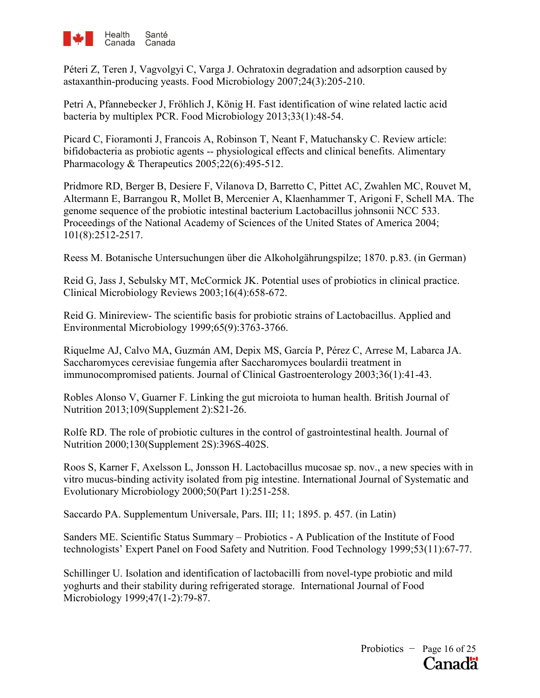

Péteri Z, Teren J, Vagvolgyi C, Varga J. Ochratoxin degradation and adsorption caused by astaxanthin-producing yeasts. Food Microbiology 2007;24(3):205-210.

Petri A, Pfannebecker J, Fröhlich J, König H. Fast identification of wine related lactic acid bacteria by multiplex PCR. Food Microbiology 2013;33(1):48-54.

Picard C, Fioramonti J, Francois A, Robinson T, Neant F, Matuchansky C. Review article: bifidobacteria as probiotic agents -- physiological effects and clinical benefits. Alimentary Pharmacology  $&$  Therapeutics 2005;22(6):495-512.

Pridmore RD, Berger B, Desiere F, Vilanova D, Barretto C, Pittet AC, Zwahlen MC, Rouvet M, Altermann E, Barrangou R, Mollet B, Mercenier A, Klaenhammer T, Arigoni F, Schell MA. The genome sequence of the probiotic intestinal bacterium Lactobacillus johnsonii NCC 533. Proceedings of the National Academy of Sciences of the United States of America 2004; 101(8):2512-2517.

Reess M. Botanische Untersuchungen über die Alkoholgährungspilze; 1870. p.83. (in German)

Reid G, Jass J, Sebulsky MT, McCormick JK. Potential uses of probiotics in clinical practice. Clinical Microbiology Reviews 2003;16(4):658-672.

Reid G. Minireview- The scientific basis for probiotic strains of Lactobacillus. Applied and Environmental Microbiology 1999;65(9):3763-3766.

Riquelme AJ, Calvo MA, Guzmán AM, Depix MS, García P, Pérez C, Arrese M, Labarca JA. Saccharomyces cerevisiae fungemia after Saccharomyces boulardii treatment in immunocompromised patients. Journal of Clinical Gastroenterology 2003;36(1):41-43.

Robles Alonso V, Guarner F. Linking the gut microiota to human health. British Journal of Nutrition 2013;109(Supplement 2):S21-26.

Rolfe RD. The role of probiotic cultures in the control of gastrointestinal health. Journal of Nutrition 2000;130(Supplement 2S):396S-402S.

Roos S, Karner F, Axelsson L, Jonsson H. Lactobacillus mucosae sp. nov., a new species with in vitro mucus-binding activity isolated from pig intestine. International Journal of Systematic and Evolutionary Microbiology 2000;50(Part 1):251-258.

Saccardo PA. Supplementum Universale, Pars. III; 11; 1895. p. 457. (in Latin)

Sanders ME. Scientific Status Summary – Probiotics - A Publication of the Institute of Food technologists' Expert Panel on Food Safety and Nutrition. Food Technology 1999;53(11):67-77.

Schillinger U. Isolation and identification of lactobacilli from novel-type probiotic and mild yoghurts and their stability during refrigerated storage. International Journal of Food Microbiology 1999;47(1-2):79-87.

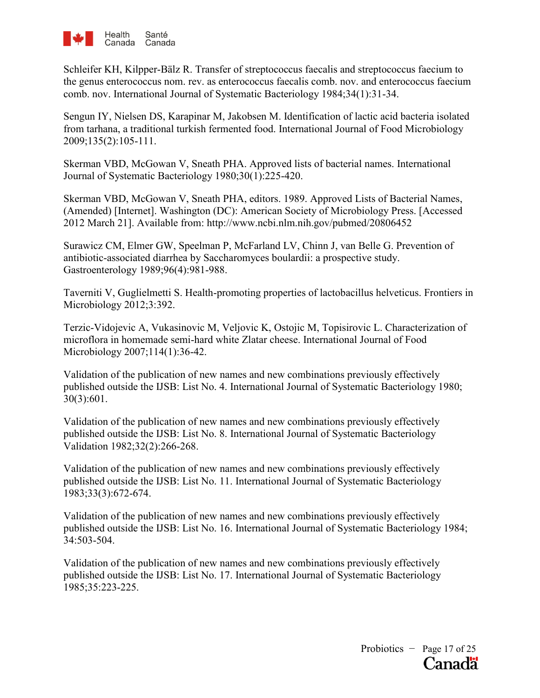

Schleifer KH, Kilpper-Bälz R. Transfer of streptococcus faecalis and streptococcus faecium to the genus enterococcus nom. rev. as enterococcus faecalis comb. nov. and enterococcus faecium comb. nov. International Journal of Systematic Bacteriology 1984;34(1):31-34.

Sengun IY, Nielsen DS, Karapinar M, Jakobsen M. Identification of lactic acid bacteria isolated from tarhana, a traditional turkish fermented food. International Journal of Food Microbiology 2009;135(2):105-111.

Skerman VBD, McGowan V, Sneath PHA. Approved lists of bacterial names. International Journal of Systematic Bacteriology 1980;30(1):225-420.

Skerman VBD, McGowan V, Sneath PHA, editors. 1989. Approved Lists of Bacterial Names, (Amended) [Internet]. Washington (DC): American Society of Microbiology Press. [Accessed 2012 March 21]. Available from: http://www.ncbi.nlm.nih.gov/pubmed/20806452

Surawicz CM, Elmer GW, Speelman P, McFarland LV, Chinn J, van Belle G. Prevention of antibiotic-associated diarrhea by Saccharomyces boulardii: a prospective study. Gastroenterology 1989;96(4):981-988.

Taverniti V, Guglielmetti S. Health-promoting properties of lactobacillus helveticus. Frontiers in Microbiology 2012;3:392.

Terzic-Vidojevic A, Vukasinovic M, Veljovic K, Ostojic M, Topisirovic L. Characterization of microflora in homemade semi-hard white Zlatar cheese. International Journal of Food Microbiology 2007;114(1):36-42.

Validation of the publication of new names and new combinations previously effectively published outside the IJSB: List No. 4. International Journal of Systematic Bacteriology 1980; 30(3):601.

Validation of the publication of new names and new combinations previously effectively published outside the IJSB: List No. 8. International Journal of Systematic Bacteriology Validation 1982;32(2):266-268.

Validation of the publication of new names and new combinations previously effectively published outside the IJSB: List No. 11. International Journal of Systematic Bacteriology 1983;33(3):672-674.

Validation of the publication of new names and new combinations previously effectively published outside the IJSB: List No. 16. International Journal of Systematic Bacteriology 1984; 34:503-504.

Validation of the publication of new names and new combinations previously effectively published outside the IJSB: List No. 17. International Journal of Systematic Bacteriology 1985;35:223-225.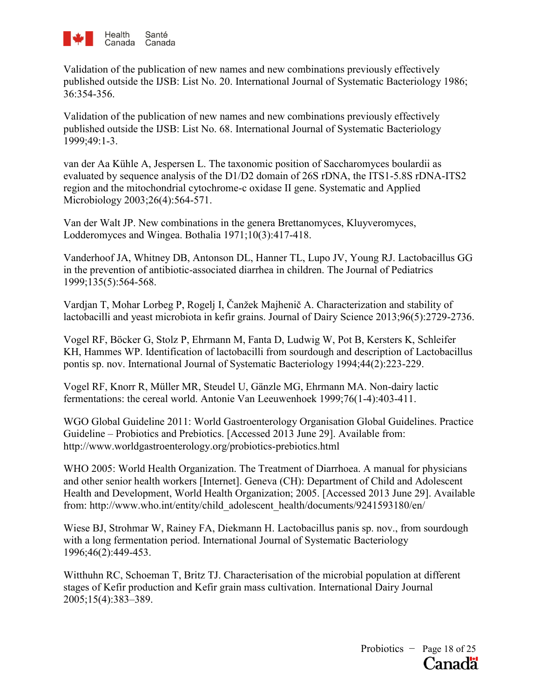

Validation of the publication of new names and new combinations previously effectively published outside the IJSB: List No. 20. International Journal of Systematic Bacteriology 1986; 36:354-356.

Validation of the publication of new names and new combinations previously effectively published outside the IJSB: List No. 68. International Journal of Systematic Bacteriology 1999;49:1-3.

van der Aa Kühle A, Jespersen L. The taxonomic position of Saccharomyces boulardii as evaluated by sequence analysis of the D1/D2 domain of 26S rDNA, the ITS1-5.8S rDNA-ITS2 region and the mitochondrial cytochrome-c oxidase II gene. Systematic and Applied Microbiology 2003;26(4):564-571.

Van der Walt JP. New combinations in the genera Brettanomyces, Kluyveromyces, Lodderomyces and Wingea. Bothalia 1971;10(3):417-418.

Vanderhoof JA, Whitney DB, Antonson DL, Hanner TL, Lupo JV, Young RJ. Lactobacillus GG in the prevention of antibiotic-associated diarrhea in children. The Journal of Pediatrics 1999;135(5):564-568.

Vardjan T, Mohar Lorbeg P, Rogelj I, Čanžek Majhenič A. Characterization and stability of lactobacilli and yeast microbiota in kefir grains. Journal of Dairy Science 2013;96(5):2729-2736.

Vogel RF, Böcker G, Stolz P, Ehrmann M, Fanta D, Ludwig W, Pot B, Kersters K, Schleifer KH, Hammes WP. Identification of lactobacilli from sourdough and description of Lactobacillus pontis sp. nov. International Journal of Systematic Bacteriology 1994;44(2):223-229.

Vogel RF, Knorr R, Müller MR, Steudel U, Gänzle MG, Ehrmann MA. Non-dairy lactic fermentations: the cereal world. Antonie Van Leeuwenhoek 1999;76(1-4):403-411.

WGO Global Guideline 2011: World Gastroenterology Organisation Global Guidelines. Practice Guideline – Probiotics and Prebiotics. [Accessed 2013 June 29]. Available from: <http://www.worldgastroenterology.org/probiotics-prebiotics.html>

WHO 2005: World Health Organization. The Treatment of Diarrhoea. A manual for physicians and other senior health workers [Internet]. Geneva (CH): Department of Child and Adolescent Health and Development, World Health Organization; 2005. [Accessed 2013 June 29]. Available from: [http://www.who.int/entity/child\\_adolescent\\_health/documents/9241593180/en/](http://www.who.int/entity/child_adolescent_health/documents/9241593180/en/)

Wiese BJ, Strohmar W, Rainey FA, Diekmann H. Lactobacillus panis sp. nov., from sourdough with a long fermentation period. International Journal of Systematic Bacteriology 1996;46(2):449-453.

Witthuhn RC, Schoeman T, Britz TJ. Characterisation of the microbial population at different stages of Kefir production and Kefir grain mass cultivation. International Dairy Journal 2005;15(4):383–389.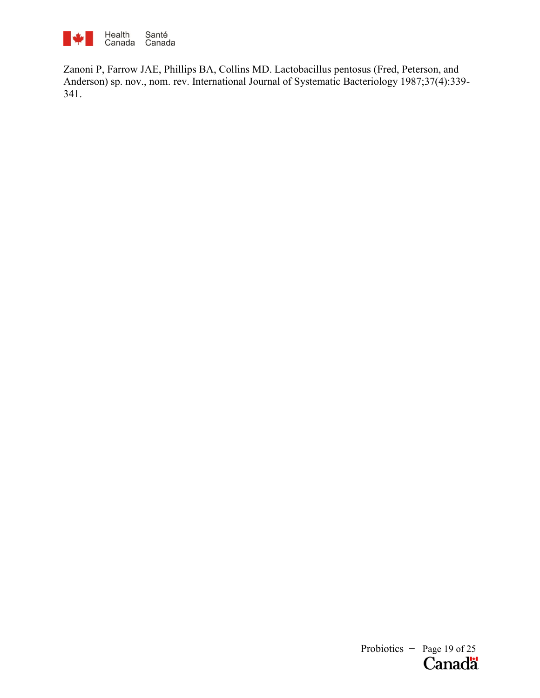

Zanoni P, Farrow JAE, Phillips BA, Collins MD. Lactobacillus pentosus (Fred, Peterson, and Anderson) sp. nov., nom. rev. International Journal of Systematic Bacteriology 1987;37(4):339- 341.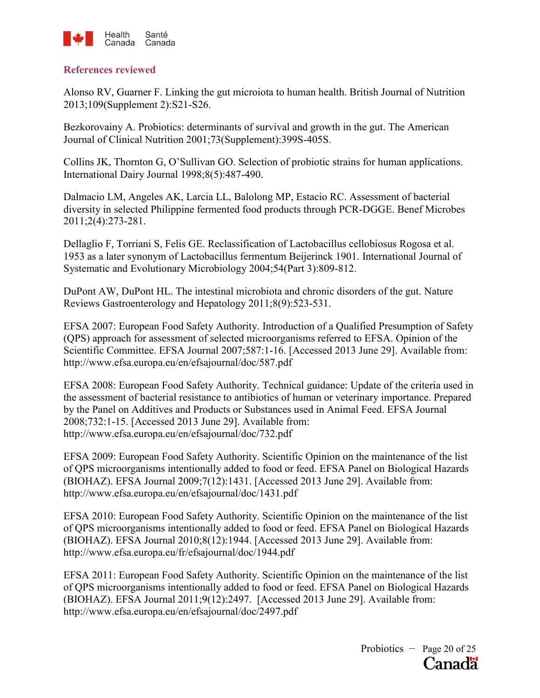

## **References reviewed**

Alonso RV, Guarner F. Linking the gut microiota to human health. British Journal of Nutrition 2013;109(Supplement 2):S21-S26.

Bezkorovainy A. Probiotics: determinants of survival and growth in the gut. The American Journal of Clinical Nutrition 2001;73(Supplement):399S-405S.

Collins JK, Thornton G, O'Sullivan GO. Selection of probiotic strains for human applications. International Dairy Journal 1998;8(5):487-490.

Dalmacio LM, Angeles AK, Larcia LL, Balolong MP, Estacio RC. Assessment of bacterial diversity in selected Philippine fermented food products through PCR-DGGE. Benef Microbes 2011;2(4):273-281.

Dellaglio F, Torriani S, Felis GE. Reclassification of Lactobacillus cellobiosus Rogosa et al. 1953 as a later synonym of Lactobacillus fermentum Beijerinck 1901. International Journal of Systematic and Evolutionary Microbiology 2004;54(Part 3):809-812.

DuPont AW, DuPont HL. The intestinal microbiota and chronic disorders of the gut. Nature Reviews Gastroenterology and Hepatology 2011;8(9):523-531.

EFSA 2007: European Food Safety Authority. Introduction of a Qualified Presumption of Safety (QPS) approach for assessment of selected microorganisms referred to EFSA. Opinion of the Scientific Committee. EFSA Journal 2007;587:1-16. [Accessed 2013 June 29]. Available from: <http://www.efsa.europa.eu/en/efsajournal/doc/587.pdf>

EFSA 2008: European Food Safety Authority. Technical guidance: Update of the criteria used in the assessment of bacterial resistance to antibiotics of human or veterinary importance. Prepared by the Panel on Additives and Products or Substances used in Animal Feed. EFSA Journal 2008;732:1-15. [Accessed 2013 June 29]. Available from: <http://www.efsa.europa.eu/en/efsajournal/doc/732.pdf>

EFSA 2009: European Food Safety Authority. Scientific Opinion on the maintenance of the list of QPS microorganisms intentionally added to food or feed. EFSA Panel on Biological Hazards (BIOHAZ). EFSA Journal 2009;7(12):1431. [Accessed 2013 June 29]. Available from: <http://www.efsa.europa.eu/en/efsajournal/doc/1431.pdf>

EFSA 2010: European Food Safety Authority. Scientific Opinion on the maintenance of the list of QPS microorganisms intentionally added to food or feed. EFSA Panel on Biological Hazards (BIOHAZ). EFSA Journal 2010;8(12):1944. [Accessed 2013 June 29]. Available from: <http://www.efsa.europa.eu/fr/efsajournal/doc/1944.pdf>

EFSA 2011: European Food Safety Authority. Scientific Opinion on the maintenance of the list of QPS microorganisms intentionally added to food or feed. EFSA Panel on Biological Hazards (BIOHAZ). EFSA Journal 2011;9(12):2497. [Accessed 2013 June 29]. Available from: <http://www.efsa.europa.eu/en/efsajournal/doc/2497.pdf>

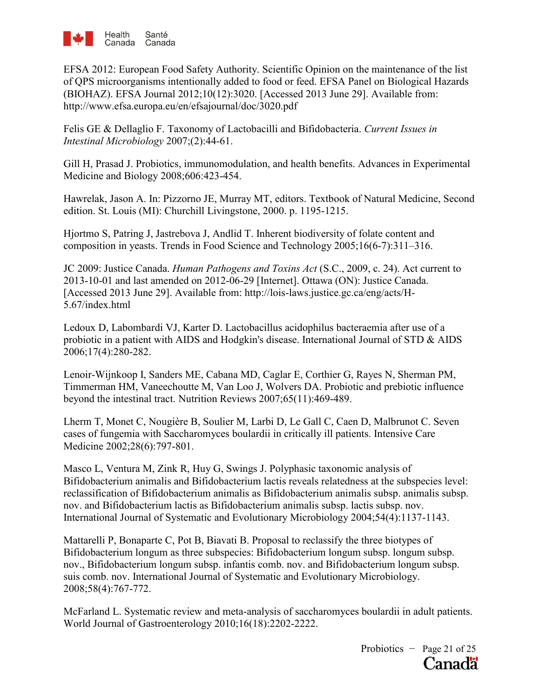

EFSA 2012: European Food Safety Authority. Scientific Opinion on the maintenance of the list of QPS microorganisms intentionally added to food or feed. EFSA Panel on Biological Hazards (BIOHAZ). EFSA Journal 2012;10(12):3020. [Accessed 2013 June 29]. Available from: <http://www.efsa.europa.eu/en/efsajournal/doc/3020.pdf>

Felis GE & Dellaglio F. Taxonomy of Lactobacilli and Bifidobacteria. *Current Issues in Intestinal Microbiology* 2007;(2):44-61.

Gill H, Prasad J. Probiotics, immunomodulation, and health benefits. Advances in Experimental Medicine and Biology 2008;606:423-454.

Hawrelak, Jason A. In: Pizzorno JE, Murray MT, editors. Textbook of Natural Medicine, Second edition. St. Louis (MI): Churchill Livingstone, 2000. p. 1195-1215.

Hjortmo S, Patring J, Jastrebova J, Andlid T. Inherent biodiversity of folate content and composition in yeasts. Trends in Food Science and Technology 2005;16(6-7):311–316.

JC 2009: Justice Canada. *Human Pathogens and Toxins Act* (S.C., 2009, c. 24). Act current to 2013-10-01 and last amended on 2012-06-29 [Internet]. Ottawa (ON): Justice Canada. [Accessed 2013 June 29]. Available from: http://lois-laws.justice.gc.ca/eng/acts/H-5.67/index.html

Ledoux D, Labombardi VJ, Karter D. Lactobacillus acidophilus bacteraemia after use of a probiotic in a patient with AIDS and Hodgkin's disease. International Journal of STD & AIDS 2006;17(4):280-282.

Lenoir-Wijnkoop I, Sanders ME, Cabana MD, Caglar E, Corthier G, Rayes N, Sherman PM, Timmerman HM, Vaneechoutte M, Van Loo J, Wolvers DA. Probiotic and prebiotic influence beyond the intestinal tract. Nutrition Reviews 2007;65(11):469-489.

Lherm T, Monet C, Nougière B, Soulier M, Larbi D, Le Gall C, Caen D, Malbrunot C. Seven cases of fungemia with Saccharomyces boulardii in critically ill patients. Intensive Care Medicine 2002;28(6):797-801.

Masco L, Ventura M, Zink R, Huy G, Swings J. Polyphasic taxonomic analysis of Bifidobacterium animalis and Bifidobacterium lactis reveals relatedness at the subspecies level: reclassification of Bifidobacterium animalis as Bifidobacterium animalis subsp. animalis subsp. nov. and Bifidobacterium lactis as Bifidobacterium animalis subsp. lactis subsp. nov. International Journal of Systematic and Evolutionary Microbiology 2004;54(4):1137-1143.

Mattarelli P, Bonaparte C, Pot B, Biavati B. Proposal to reclassify the three biotypes of Bifidobacterium longum as three subspecies: Bifidobacterium longum subsp. longum subsp. nov., Bifidobacterium longum subsp. infantis comb. nov. and Bifidobacterium longum subsp. suis comb. nov. International Journal of Systematic and Evolutionary Microbiology. 2008;58(4):767-772.

McFarland L. Systematic review and meta-analysis of saccharomyces boulardii in adult patients. World Journal of Gastroenterology 2010;16(18):2202-2222.

> Probiotics − Page 21 of 25 **Canadä**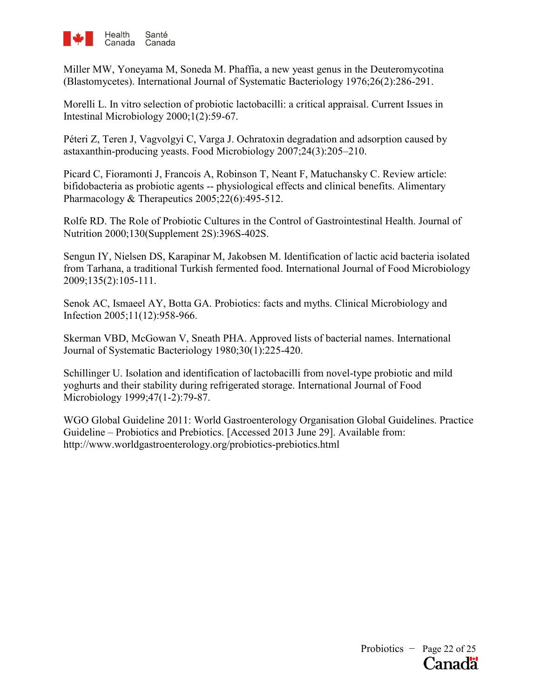

Miller MW, Yoneyama M, Soneda M. Phaffia, a new yeast genus in the Deuteromycotina (Blastomycetes). International Journal of Systematic Bacteriology 1976;26(2):286-291.

Morelli L. In vitro selection of probiotic lactobacilli: a critical appraisal. Current Issues in Intestinal Microbiology 2000;1(2):59-67.

Péteri Z, Teren J, Vagvolgyi C, Varga J. Ochratoxin degradation and adsorption caused by astaxanthin-producing yeasts. Food Microbiology 2007;24(3):205–210.

Picard C, Fioramonti J, Francois A, Robinson T, Neant F, Matuchansky C. Review article: bifidobacteria as probiotic agents -- physiological effects and clinical benefits. Alimentary Pharmacology & Therapeutics 2005;22(6):495-512.

Rolfe RD. The Role of Probiotic Cultures in the Control of Gastrointestinal Health. Journal of Nutrition 2000;130(Supplement 2S):396S-402S.

Sengun IY, Nielsen DS, Karapinar M, Jakobsen M. Identification of lactic acid bacteria isolated from Tarhana, a traditional Turkish fermented food. International Journal of Food Microbiology 2009;135(2):105-111.

Senok AC, Ismaeel AY, Botta GA. Probiotics: facts and myths. Clinical Microbiology and Infection 2005;11(12):958-966.

Skerman VBD, McGowan V, Sneath PHA. Approved lists of bacterial names. International Journal of Systematic Bacteriology 1980;30(1):225-420.

Schillinger U. Isolation and identification of lactobacilli from novel-type probiotic and mild yoghurts and their stability during refrigerated storage. International Journal of Food Microbiology 1999;47(1-2):79-87.

WGO Global Guideline 2011: World Gastroenterology Organisation Global Guidelines. Practice Guideline – Probiotics and Prebiotics. [Accessed 2013 June 29]. Available from: <http://www.worldgastroenterology.org/probiotics-prebiotics.html>

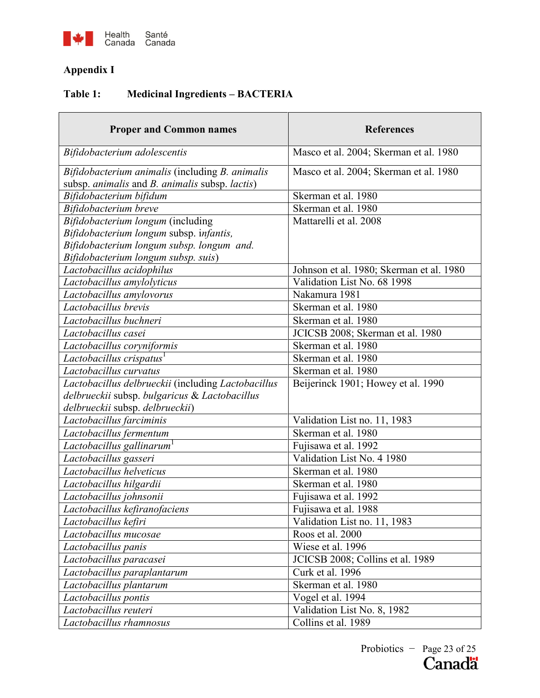

# **Appendix I**

# **Table 1: Medicinal Ingredients – BACTERIA**

| <b>Proper and Common names</b>                                                                    | <b>References</b>                        |
|---------------------------------------------------------------------------------------------------|------------------------------------------|
| Bifidobacterium adolescentis                                                                      | Masco et al. 2004; Skerman et al. 1980   |
| Bifidobacterium animalis (including B. animalis<br>subsp. animalis and B. animalis subsp. lactis) | Masco et al. 2004; Skerman et al. 1980   |
| Bifidobacterium bifidum                                                                           | Skerman et al. 1980                      |
| Bifidobacterium breve                                                                             | Skerman et al. 1980                      |
| Bifidobacterium longum (including                                                                 | Mattarelli et al. 2008                   |
| Bifidobacterium longum subsp. infantis,                                                           |                                          |
| Bifidobacterium longum subsp. longum and.                                                         |                                          |
| Bifidobacterium longum subsp. suis)                                                               |                                          |
| Lactobacillus acidophilus                                                                         | Johnson et al. 1980; Skerman et al. 1980 |
| Lactobacillus amylolyticus                                                                        | Validation List No. 68 1998              |
| Lactobacillus amylovorus                                                                          | Nakamura 1981                            |
| Lactobacillus brevis                                                                              | Skerman et al. 1980                      |
| Lactobacillus buchneri                                                                            | Skerman et al. 1980                      |
| Lactobacillus casei                                                                               | JCICSB 2008; Skerman et al. 1980         |
| Lactobacillus coryniformis                                                                        | Skerman et al. 1980                      |
| Lactobacillus crispatus <sup>1</sup>                                                              | Skerman et al. 1980                      |
| Lactobacillus curvatus                                                                            | Skerman et al. 1980                      |
| Lactobacillus delbrueckii (including Lactobacillus                                                | Beijerinck 1901; Howey et al. 1990       |
| delbrueckii subsp. bulgaricus & Lactobacillus                                                     |                                          |
| delbrueckii subsp. delbrueckii)                                                                   |                                          |
| Lactobacillus farciminis                                                                          | Validation List no. 11, 1983             |
| Lactobacillus fermentum                                                                           | Skerman et al. 1980                      |
| Lactobacillus gallinarum <sup>1</sup>                                                             | Fujisawa et al. 1992                     |
| Lactobacillus gasseri                                                                             | Validation List No. 4 1980               |
| Lactobacillus helveticus                                                                          | Skerman et al. 1980                      |
| Lactobacillus hilgardii                                                                           | Skerman et al. 1980                      |
| Lactobacillus johnsonii                                                                           | Fujisawa et al. 1992                     |
| Lactobacillus kefiranofaciens                                                                     | Fujisawa et al. 1988                     |
| Lactobacillus kefiri                                                                              | Validation List no. 11, 1983             |
| Lactobacillus mucosae                                                                             | Roos et al. 2000                         |
| Lactobacillus panis                                                                               | Wiese et al. 1996                        |
| Lactobacillus paracasei                                                                           | JCICSB 2008; Collins et al. 1989         |
| Lactobacillus paraplantarum                                                                       | Curk et al. 1996                         |
| Lactobacillus plantarum                                                                           | Skerman et al. 1980                      |
| Lactobacillus pontis                                                                              | Vogel et al. 1994                        |
| Lactobacillus reuteri                                                                             | Validation List No. 8, 1982              |
| Lactobacillus rhamnosus                                                                           | Collins et al. 1989                      |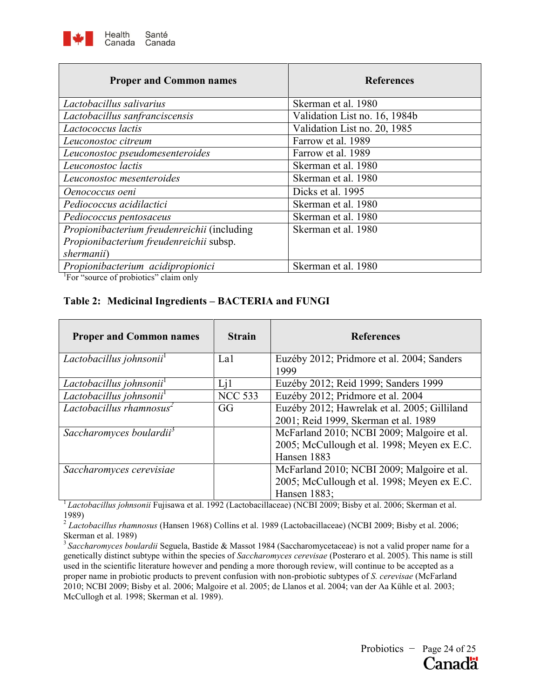| <b>Proper and Common names</b>              | <b>References</b>             |
|---------------------------------------------|-------------------------------|
| Lactobacillus salivarius                    | Skerman et al. 1980           |
| Lactobacillus sanfranciscensis              | Validation List no. 16, 1984b |
| Lactococcus lactis                          | Validation List no. 20, 1985  |
| Leuconostoc citreum                         | Farrow et al. 1989            |
| Leuconostoc pseudomesenteroides             | Farrow et al. 1989            |
| Leuconostoc lactis                          | Skerman et al. 1980           |
| Leuconostoc mesenteroides                   | Skerman et al. 1980           |
| Oenococcus oeni                             | Dicks et al. 1995             |
| Pediococcus acidilactici                    | Skerman et al. 1980           |
| Pediococcus pentosaceus                     | Skerman et al. 1980           |
| Propionibacterium freudenreichii (including | Skerman et al. 1980           |
| Propionibacterium freudenreichii subsp.     |                               |
| shermanii)                                  |                               |
| Propionibacterium acidipropionici           | Skerman et al. 1980           |

<sup>1</sup>For "source of probiotics" claim only

## **Table 2: Medicinal Ingredients – BACTERIA and FUNGI**

| <b>Proper and Common names</b>       | <b>Strain</b>  | <b>References</b>                                  |
|--------------------------------------|----------------|----------------------------------------------------|
| Lactobacillus johnsonii <sup>1</sup> | La1            | Euzéby 2012; Pridmore et al. 2004; Sanders<br>1999 |
| Lactobacillus johnsonii <sup>1</sup> | Li1            | Euzéby 2012; Reid 1999; Sanders 1999               |
| Lactobacillus johnsonii <sup>1</sup> | <b>NCC 533</b> | Euzéby 2012; Pridmore et al. 2004                  |
| Lactobacillus rhamnosus <sup>2</sup> | GG             | Euzéby 2012; Hawrelak et al. 2005; Gilliland       |
|                                      |                | 2001; Reid 1999, Skerman et al. 1989               |
| Saccharomyces boulardii <sup>3</sup> |                | McFarland 2010; NCBI 2009; Malgoire et al.         |
|                                      |                | 2005; McCullough et al. 1998; Meyen ex E.C.        |
|                                      |                | Hansen 1883                                        |
| Saccharomyces cerevisiae             |                | McFarland 2010; NCBI 2009; Malgoire et al.         |
|                                      |                | 2005; McCullough et al. 1998; Meyen ex E.C.        |
|                                      |                | Hansen 1883;                                       |

<sup>1</sup> Lactobacillus johnsonii Fujisawa et al. 1992 (Lactobacillaceae) (NCBI 2009; Bisby et al. 2006; Skerman et al. 1989)

2 *Lactobacillus rhamnosus* (Hansen 1968) Collins et al. 1989 (Lactobacillaceae) (NCBI 2009; Bisby et al. 2006; Skerman et al. 1989)

<sup>3</sup> Saccharomyces boulardii Seguela, Bastide & Massot 1984 (Saccharomycetaceae) is not a valid proper name for a genetically distinct subtype within the species of *Saccharomyces cerevisae* (Posteraro et al. 2005). This name is still used in the scientific literature however and pending a more thorough review, will continue to be accepted as a proper name in probiotic products to prevent confusion with non-probiotic subtypes of *S. cerevisae* (McFarland 2010; NCBI 2009; Bisby et al. 2006; Malgoire et al. 2005; de Llanos et al. 2004; van der Aa Kühle et al*.* 2003; McCullogh et al*.* 1998; Skerman et al. 1989).